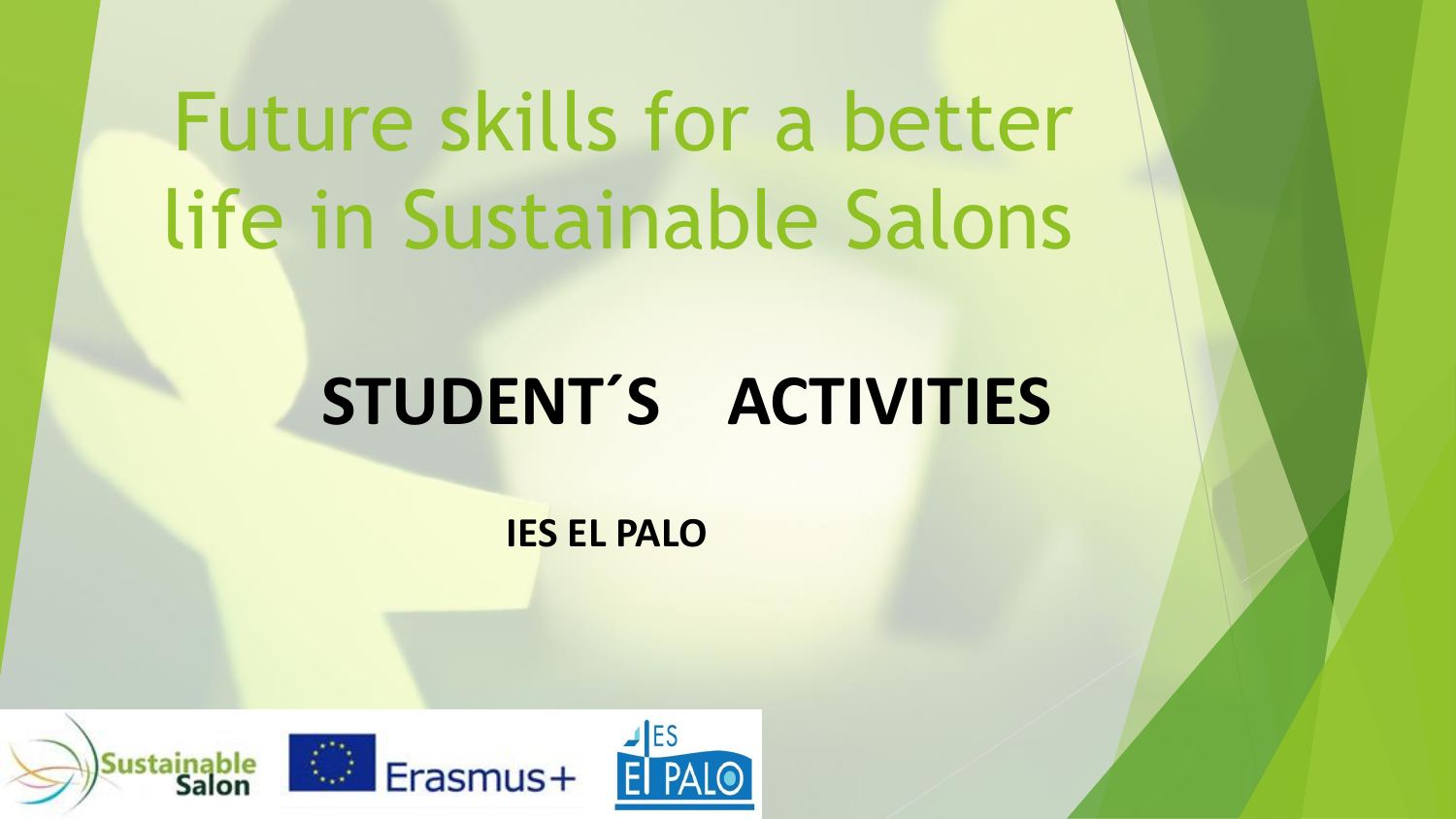# Future skills for a better life in Sustainable Salons

## **STUDENT´S ACTIVITIES**

**IES EL PALO**

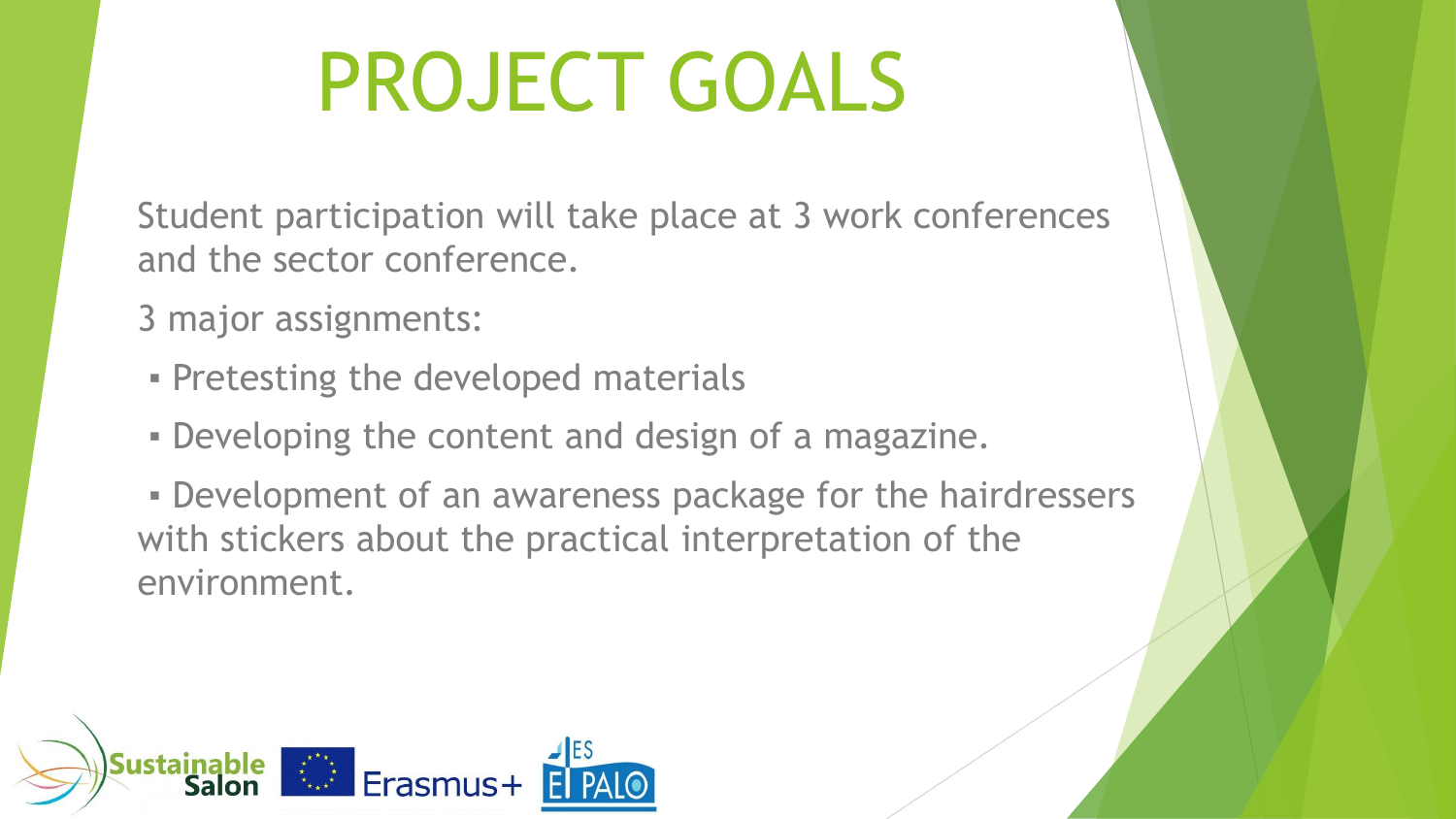# PROJECT GOALS

Student participation will take place at 3 work conferences and the sector conference.

- 3 major assignments:
- **Pretesting the developed materials**
- **Developing the content and design of a magazine.**
- **Development of an awareness package for the hairdressers** with stickers about the practical interpretation of the environment.

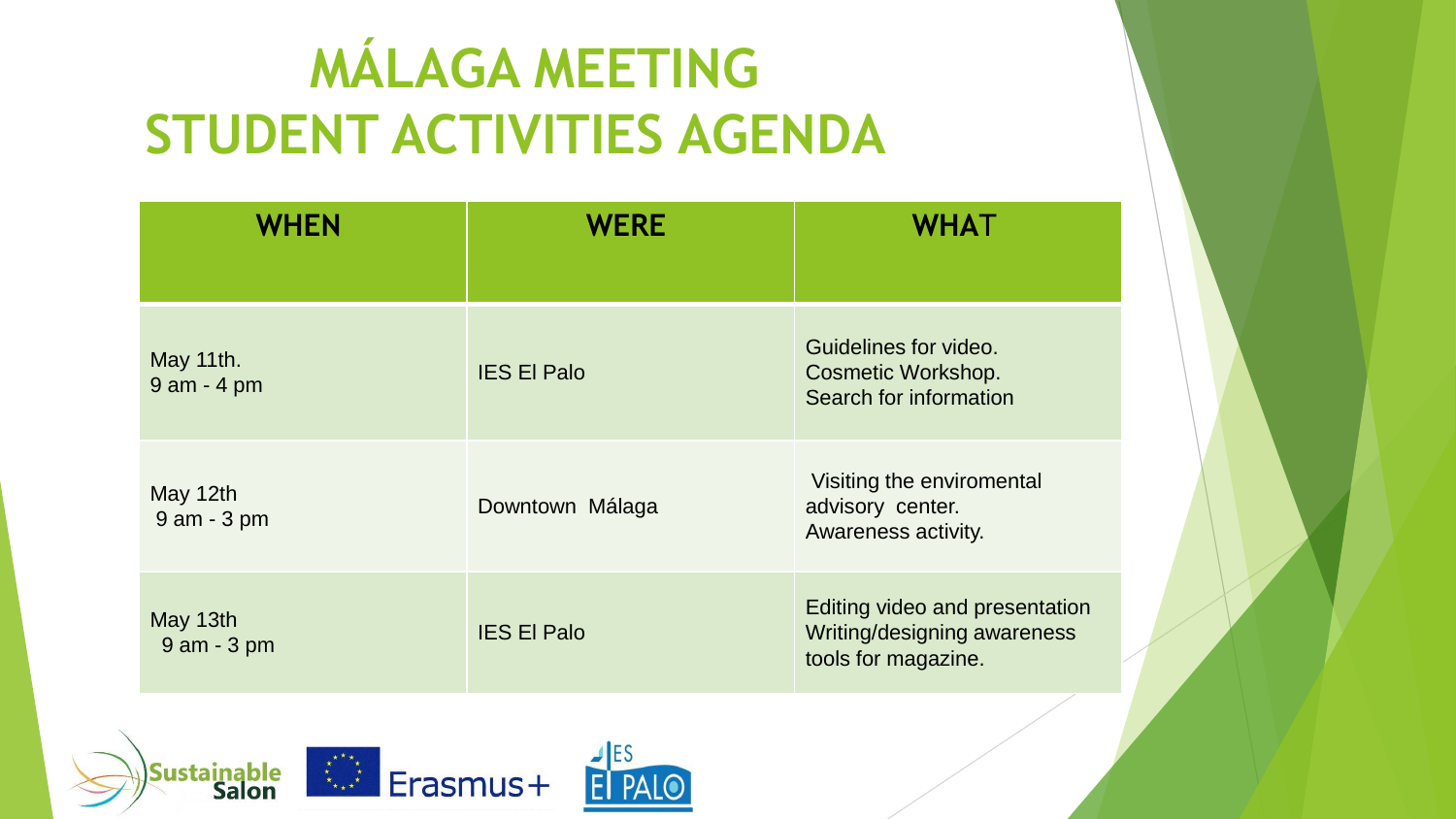### **MÁLAGA MEETING STUDENT ACTIVITIES AGENDA**

| <b>WHEN</b>                | <b>WERE</b>        | <b>WHAT</b>                                                                          |
|----------------------------|--------------------|--------------------------------------------------------------------------------------|
| May 11th.<br>9 am - 4 pm   | <b>IES El Palo</b> | Guidelines for video.<br><b>Cosmetic Workshop.</b><br>Search for information         |
| May 12th<br>9 am - 3 pm    | Downtown Málaga    | Visiting the enviromental<br>advisory center.<br>Awareness activity.                 |
| May 13th<br>$9$ am $-3$ pm | <b>IES El Palo</b> | Editing video and presentation<br>Writing/designing awareness<br>tools for magazine. |

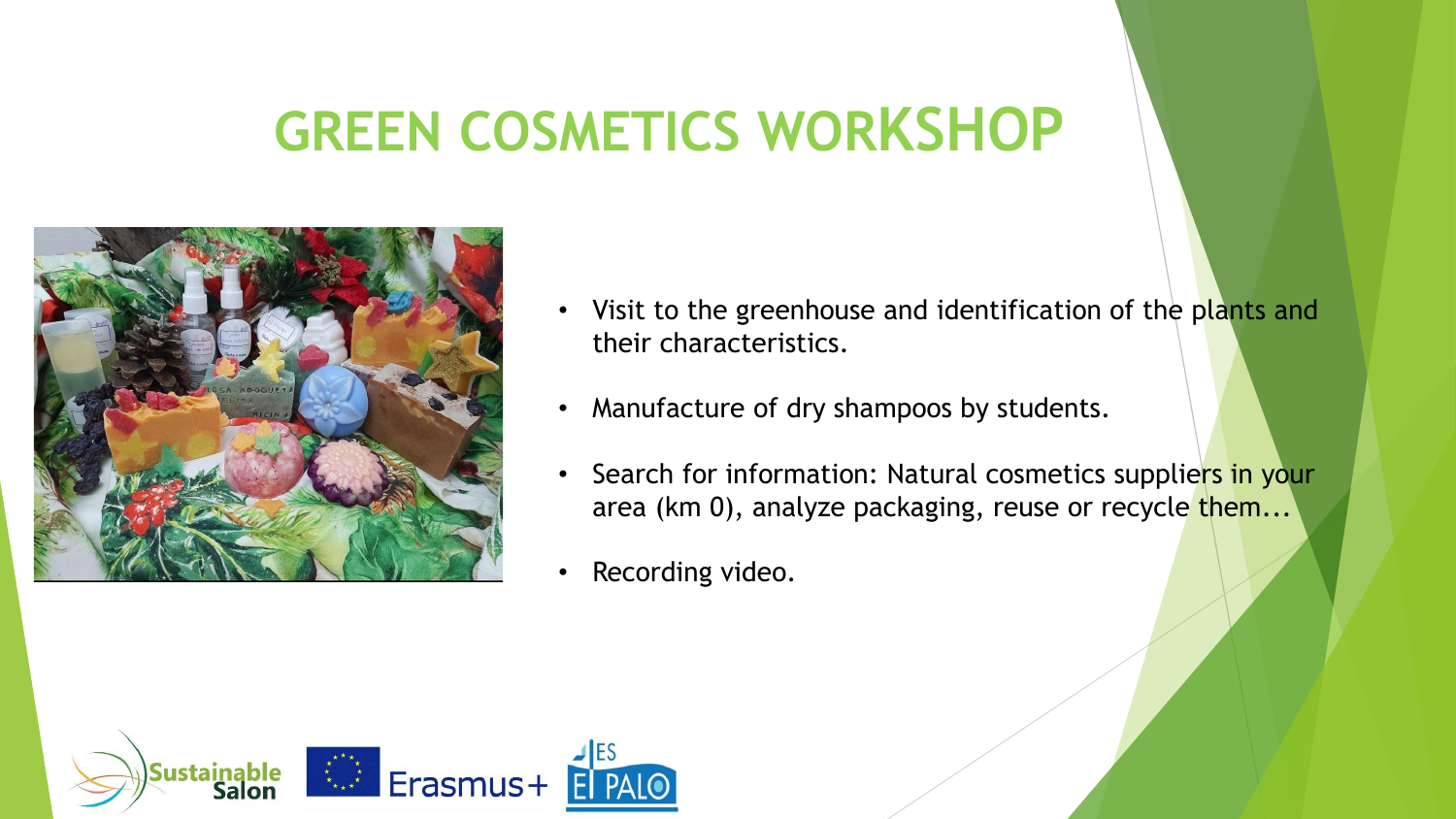#### **GREEN COSMETICS WORKSHOP**



- Visit to the greenhouse and identification of the plants and their characteristics.
- Manufacture of dry shampoos by students.
- Search for information: Natural cosmetics suppliers in your area (km 0), analyze packaging, reuse or recycle them...
- Recording video.

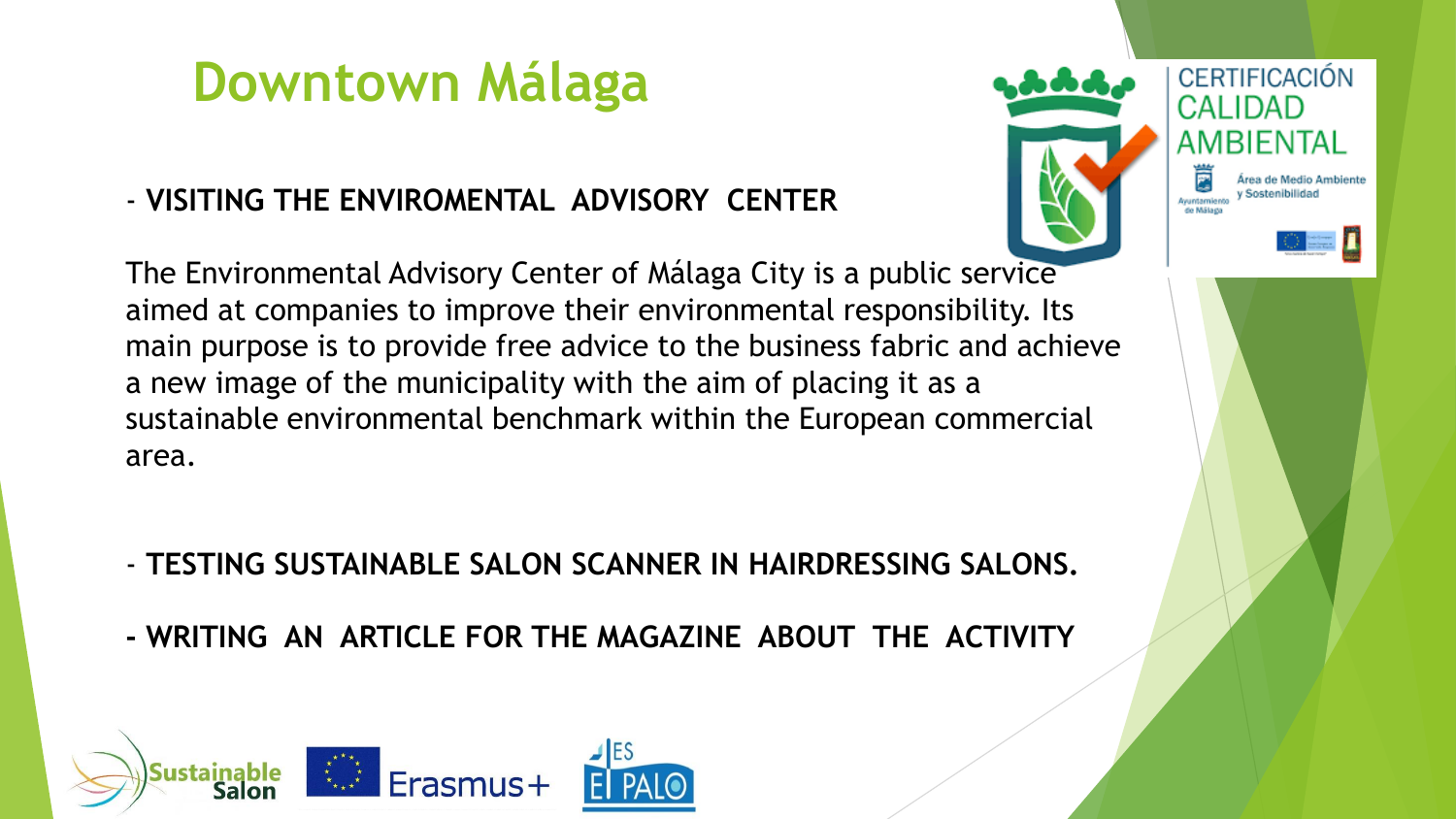#### **Downtown Málaga**

#### - **VISITING THE ENVIROMENTAL ADVISORY CENTER**

**CERTIFICACIÓN** CAI IDAD AMRIFNTAI

The Environmental Advisory Center of Málaga City is a public service aimed at companies to improve their environmental responsibility. Its main purpose is to provide free advice to the business fabric and achieve a new image of the municipality with the aim of placing it as a sustainable environmental benchmark within the European commercial area.

- **TESTING SUSTAINABLE SALON SCANNER IN HAIRDRESSING SALONS.**
- **- WRITING AN ARTICLE FOR THE MAGAZINE ABOUT THE ACTIVITY**

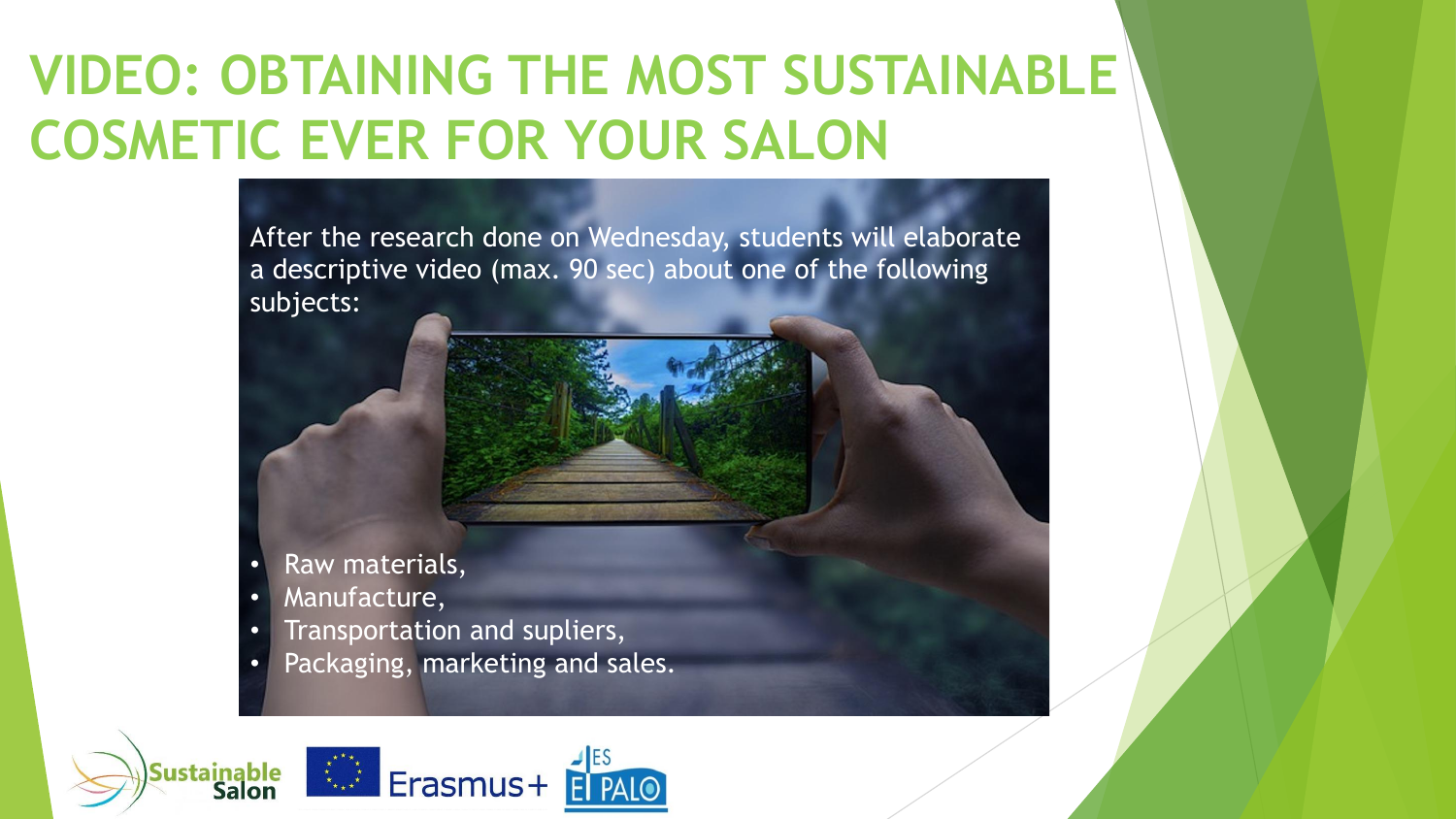### **VIDEO: OBTAINING THE MOST SUSTAINABLE COSMETIC EVER FOR YOUR SALON**

After the research done on Wednesday, students will elaborate a descriptive video (max. 90 sec) about one of the following subjects:

- 
- Raw materials,
- Manufacture,
- Transportation and supliers,
- Packaging, marketing and sales.

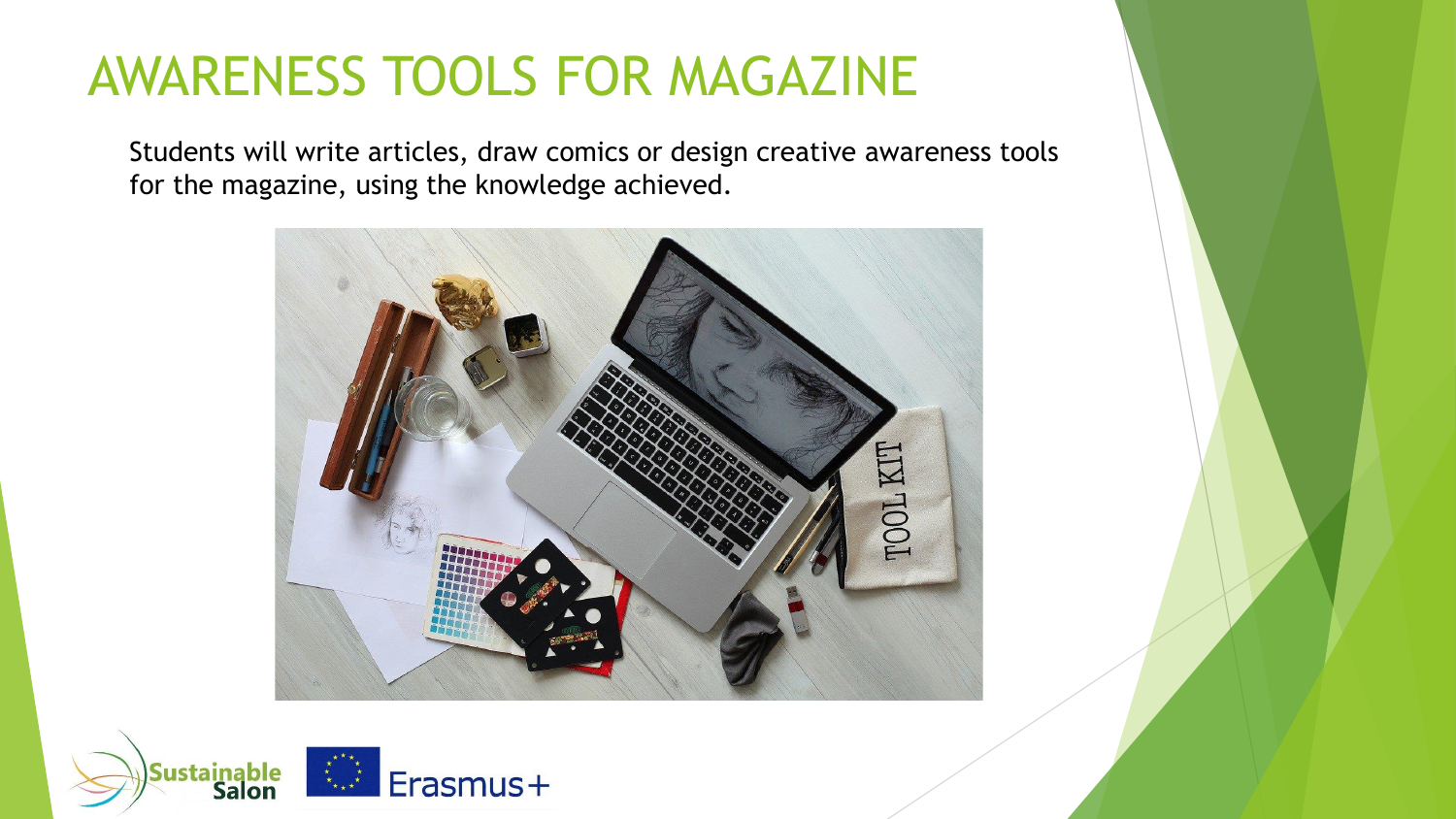#### AWARENESS TOOLS FOR MAGAZINE

Students will write articles, draw comics or design creative awareness tools for the magazine, using the knowledge achieved.